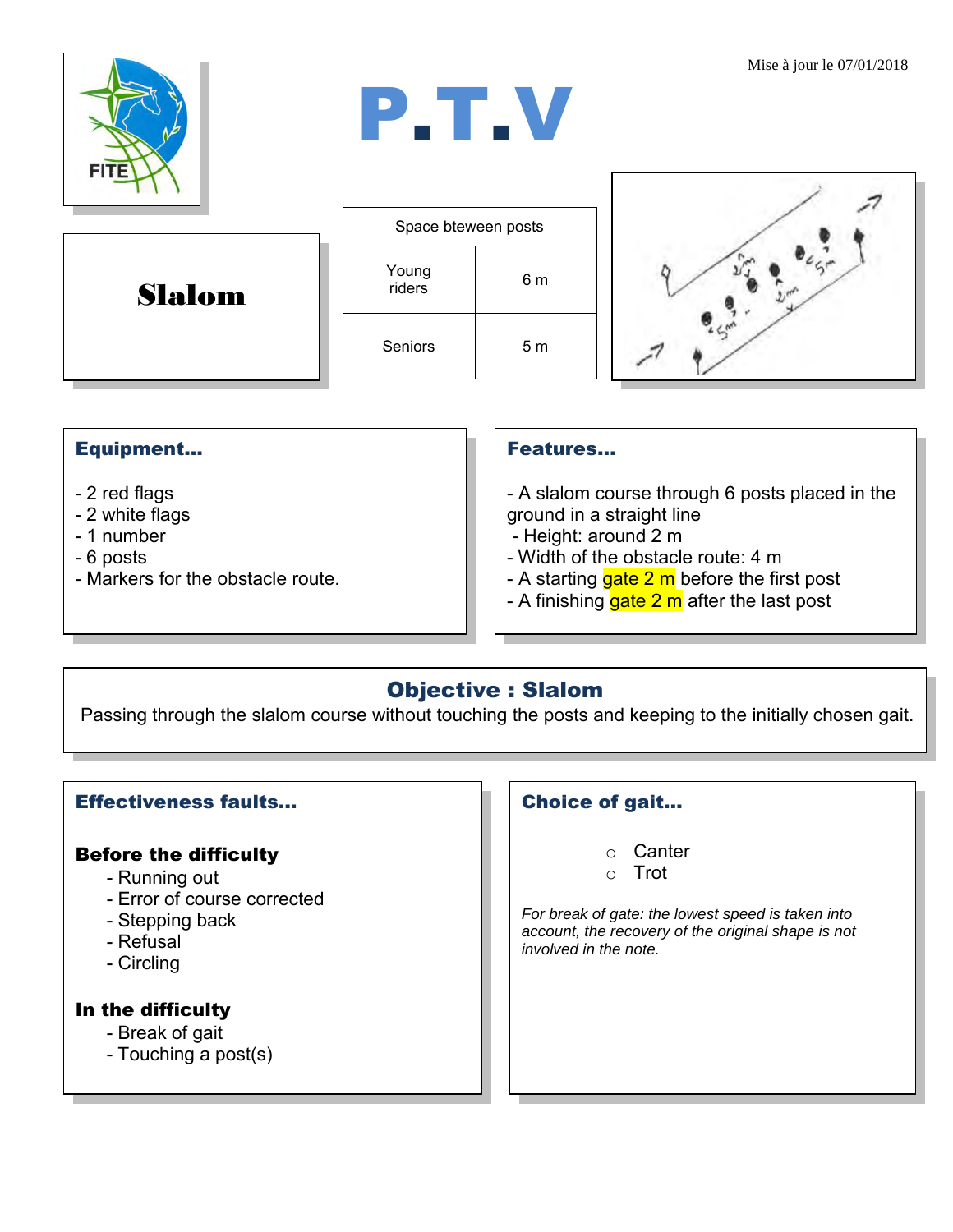Mise à jour le 07/01/2018



# P.T.V

Slalom





## Equipment...

- 2 red flags
- 2 white flags
- 1 number
- 6 posts
- Markers for the obstacle route.

#### Features…

- A slalom course through 6 posts placed in the ground in a straight line

- Height: around 2 m
- Width of the obstacle route: 4 m
- A starting  $gate 2 m$  before the first post
- A finishing gate  $2 \text{ m}$  after the last post

# Objective : Slalom

Passing through the slalom course without touching the posts and keeping to the initially chosen gait.

### Effectiveness faults…

#### Before the difficulty

- Running out
- Error of course corrected
- Stepping back
- Refusal
- Circling

#### In the difficulty

- Break of gait
- Touching a post(s)

### Choice of gait…

- o Canter
- o Trot

*For break of gate: the lowest speed is taken into account, the recovery of the original shape is not involved in the note.*